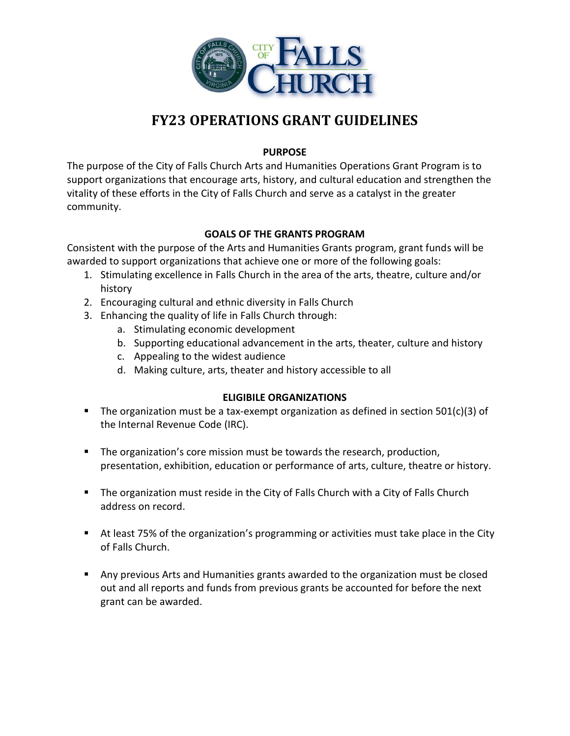

# **FY23 OPERATIONS GRANT GUIDELINES**

# **PURPOSE**

The purpose of the City of Falls Church Arts and Humanities Operations Grant Program is to support organizations that encourage arts, history, and cultural education and strengthen the vitality of these efforts in the City of Falls Church and serve as a catalyst in the greater community.

# **GOALS OF THE GRANTS PROGRAM**

Consistent with the purpose of the Arts and Humanities Grants program, grant funds will be awarded to support organizations that achieve one or more of the following goals:

- 1. Stimulating excellence in Falls Church in the area of the arts, theatre, culture and/or history
- 2. Encouraging cultural and ethnic diversity in Falls Church
- 3. Enhancing the quality of life in Falls Church through:
	- a. Stimulating economic development
	- b. Supporting educational advancement in the arts, theater, culture and history
	- c. Appealing to the widest audience
	- d. Making culture, arts, theater and history accessible to all

# **ELIGIBILE ORGANIZATIONS**

- $\blacksquare$  The organization must be a tax-exempt organization as defined in section 501(c)(3) of the Internal Revenue Code (IRC).
- **The organization's core mission must be towards the research, production,** presentation, exhibition, education or performance of arts, culture, theatre or history.
- The organization must reside in the City of Falls Church with a City of Falls Church address on record.
- At least 75% of the organization's programming or activities must take place in the City of Falls Church.
- Any previous Arts and Humanities grants awarded to the organization must be closed out and all reports and funds from previous grants be accounted for before the next grant can be awarded.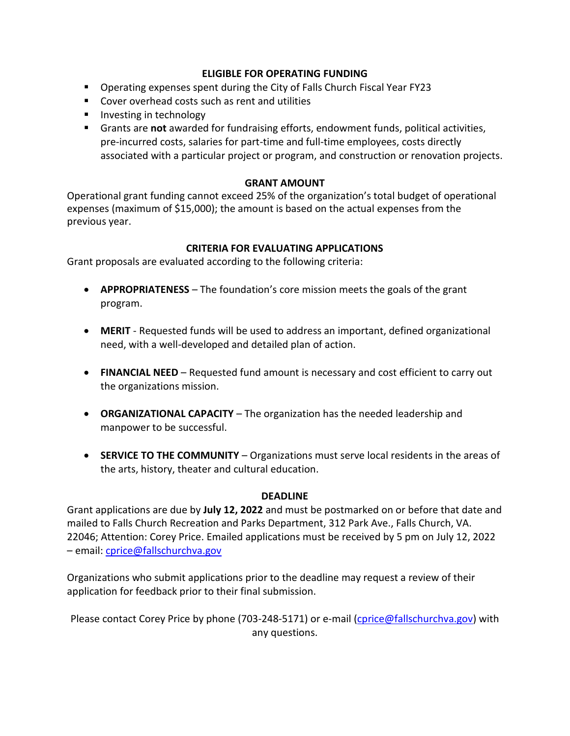## **ELIGIBLE FOR OPERATING FUNDING**

- Operating expenses spent during the City of Falls Church Fiscal Year FY23
- Cover overhead costs such as rent and utilities
- **Investing in technology**
- Grants are **not** awarded for fundraising efforts, endowment funds, political activities, pre-incurred costs, salaries for part-time and full-time employees, costs directly associated with a particular project or program, and construction or renovation projects.

## **GRANT AMOUNT**

Operational grant funding cannot exceed 25% of the organization's total budget of operational expenses (maximum of \$15,000); the amount is based on the actual expenses from the previous year.

#### **CRITERIA FOR EVALUATING APPLICATIONS**

Grant proposals are evaluated according to the following criteria:

- **APPROPRIATENESS**  The foundation's core mission meets the goals of the grant program.
- **MERIT**  Requested funds will be used to address an important, defined organizational need, with a well-developed and detailed plan of action.
- **FINANCIAL NEED**  Requested fund amount is necessary and cost efficient to carry out the organizations mission.
- **ORGANIZATIONAL CAPACITY**  The organization has the needed leadership and manpower to be successful.
- **SERVICE TO THE COMMUNITY**  Organizations must serve local residents in the areas of the arts, history, theater and cultural education.

#### **DEADLINE**

Grant applications are due by **July 12, 2022** and must be postmarked on or before that date and mailed to Falls Church Recreation and Parks Department, 312 Park Ave., Falls Church, VA. 22046; Attention: Corey Price. Emailed applications must be received by 5 pm on July 12, 2022 – email: [cprice@fallschurchva.gov](mailto:cprice@fallschurchva.gov)

Organizations who submit applications prior to the deadline may request a review of their application for feedback prior to their final submission.

Please contact Corey Price by phone (703-248-5171) or e-mail [\(cprice@fallschurchva.gov\)](mailto:cprice@fallschurchva.gov) with any questions.